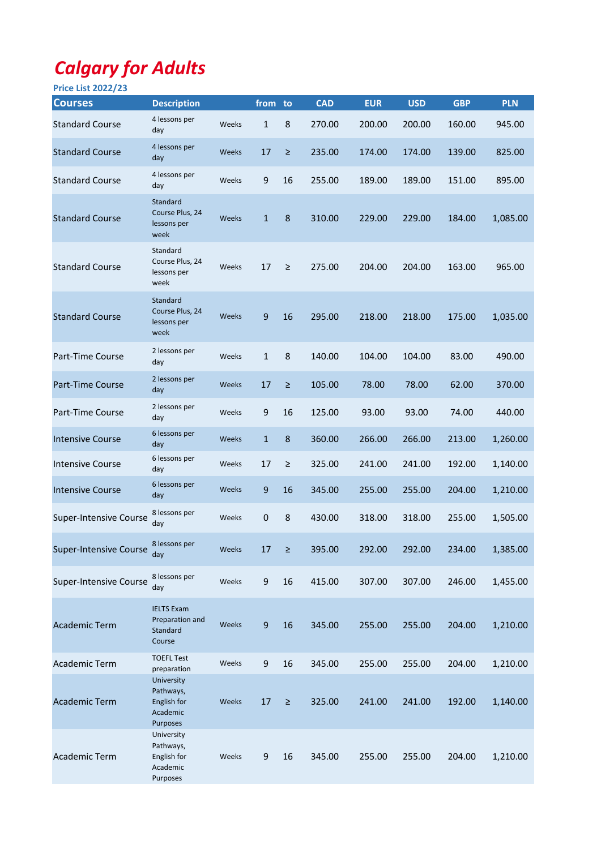## Calgary for Adults

| <b>Price List 2022/23</b>     |                                                                       |       |              |        |            |            |            |            |            |
|-------------------------------|-----------------------------------------------------------------------|-------|--------------|--------|------------|------------|------------|------------|------------|
| <b>Courses</b>                | <b>Description</b>                                                    |       | from to      |        | <b>CAD</b> | <b>EUR</b> | <b>USD</b> | <b>GBP</b> | <b>PLN</b> |
| <b>Standard Course</b>        | 4 lessons per<br>day                                                  | Weeks | $\mathbf{1}$ | 8      | 270.00     | 200.00     | 200.00     | 160.00     | 945.00     |
| <b>Standard Course</b>        | 4 lessons per<br>day                                                  | Weeks | 17           | $\geq$ | 235.00     | 174.00     | 174.00     | 139.00     | 825.00     |
| <b>Standard Course</b>        | 4 lessons per<br>day                                                  | Weeks | 9            | 16     | 255.00     | 189.00     | 189.00     | 151.00     | 895.00     |
| <b>Standard Course</b>        | Standard<br>Course Plus, 24<br>lessons per<br>week                    | Weeks | $\mathbf{1}$ | 8      | 310.00     | 229.00     | 229.00     | 184.00     | 1,085.00   |
| <b>Standard Course</b>        | Standard<br>Course Plus, 24<br>lessons per<br>week                    | Weeks | 17           | $\geq$ | 275.00     | 204.00     | 204.00     | 163.00     | 965.00     |
| <b>Standard Course</b>        | Standard<br>Course Plus, 24<br>lessons per<br>week                    | Weeks | 9            | 16     | 295.00     | 218.00     | 218.00     | 175.00     | 1,035.00   |
| Part-Time Course              | 2 lessons per<br>day                                                  | Weeks | $\mathbf{1}$ | 8      | 140.00     | 104.00     | 104.00     | 83.00      | 490.00     |
| <b>Part-Time Course</b>       | 2 lessons per<br>day                                                  | Weeks | 17           | $\geq$ | 105.00     | 78.00      | 78.00      | 62.00      | 370.00     |
| Part-Time Course              | 2 lessons per<br>day                                                  | Weeks | 9            | 16     | 125.00     | 93.00      | 93.00      | 74.00      | 440.00     |
| <b>Intensive Course</b>       | 6 lessons per<br>day                                                  | Weeks | $\mathbf{1}$ | 8      | 360.00     | 266.00     | 266.00     | 213.00     | 1,260.00   |
| <b>Intensive Course</b>       | 6 lessons per<br>day                                                  | Weeks | 17           | $\geq$ | 325.00     | 241.00     | 241.00     | 192.00     | 1,140.00   |
| <b>Intensive Course</b>       | 6 lessons per<br>day                                                  | Weeks | 9            | 16     | 345.00     | 255.00     | 255.00     | 204.00     | 1,210.00   |
| <b>Super-Intensive Course</b> | 8 lessons per<br>day                                                  | Weeks | 0            | 8      | 430.00     | 318.00     | 318.00     | 255.00     | 1,505.00   |
| <b>Super-Intensive Course</b> | 8 lessons per<br>day                                                  | Weeks | 17           | $\geq$ | 395.00     | 292.00     | 292.00     | 234.00     | 1,385.00   |
| <b>Super-Intensive Course</b> | 8 lessons per<br>day                                                  | Weeks | 9            | 16     | 415.00     | 307.00     | 307.00     | 246.00     | 1,455.00   |
| <b>Academic Term</b>          | <b>IELTS Exam</b><br>Preparation and<br>Standard<br>Course            | Weeks | 9            | 16     | 345.00     | 255.00     | 255.00     | 204.00     | 1,210.00   |
| Academic Term                 | <b>TOEFL Test</b><br>preparation                                      | Weeks | 9            | 16     | 345.00     | 255.00     | 255.00     | 204.00     | 1,210.00   |
| <b>Academic Term</b>          | University<br>Pathways,<br>English for<br>Academic<br><b>Purposes</b> | Weeks | 17           | $\geq$ | 325.00     | 241.00     | 241.00     | 192.00     | 1,140.00   |
| <b>Academic Term</b>          | University<br>Pathways,<br>English for<br>Academic<br>Purposes        | Weeks | 9            | 16     | 345.00     | 255.00     | 255.00     | 204.00     | 1,210.00   |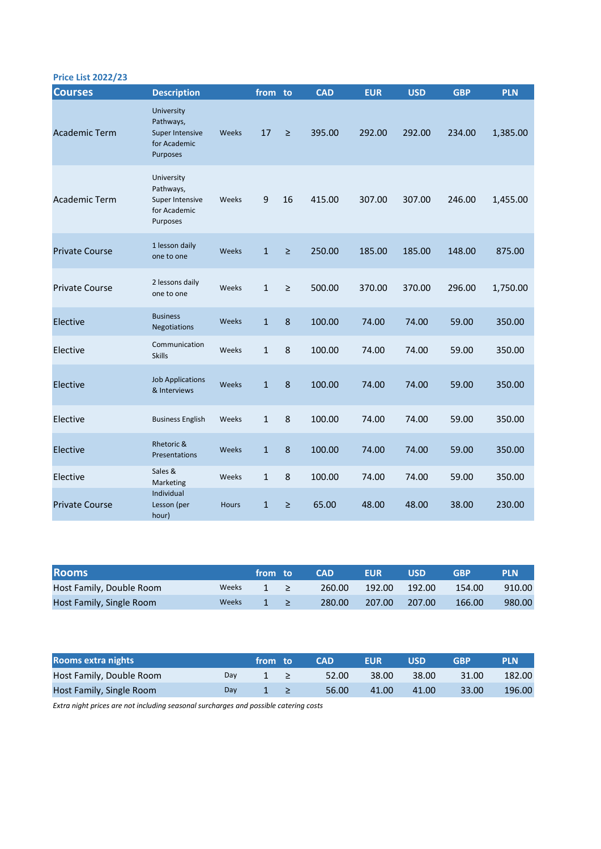| <b>Price List 2022/23</b> |  |  |  |
|---------------------------|--|--|--|
|---------------------------|--|--|--|

| <b>Courses</b>        | <b>Description</b>                                                     |              | from to      |        | <b>CAD</b> | <b>EUR</b> | <b>USD</b> | <b>GBP</b> | <b>PLN</b> |
|-----------------------|------------------------------------------------------------------------|--------------|--------------|--------|------------|------------|------------|------------|------------|
| <b>Academic Term</b>  | University<br>Pathways,<br>Super Intensive<br>for Academic<br>Purposes | Weeks        | 17           | $\geq$ | 395.00     | 292.00     | 292.00     | 234.00     | 1,385.00   |
| <b>Academic Term</b>  | University<br>Pathways,<br>Super Intensive<br>for Academic<br>Purposes | Weeks        | 9            | 16     | 415.00     | 307.00     | 307.00     | 246.00     | 1,455.00   |
| <b>Private Course</b> | 1 lesson daily<br>one to one                                           | <b>Weeks</b> | $\mathbf{1}$ | $\geq$ | 250.00     | 185.00     | 185.00     | 148.00     | 875.00     |
| <b>Private Course</b> | 2 lessons daily<br>one to one                                          | Weeks        | $\mathbf{1}$ | $\geq$ | 500.00     | 370.00     | 370.00     | 296.00     | 1,750.00   |
| Elective              | <b>Business</b><br><b>Negotiations</b>                                 | Weeks        | $\mathbf{1}$ | 8      | 100.00     | 74.00      | 74.00      | 59.00      | 350.00     |
| Elective              | Communication<br><b>Skills</b>                                         | Weeks        | $\mathbf{1}$ | 8      | 100.00     | 74.00      | 74.00      | 59.00      | 350.00     |
| Elective              | <b>Job Applications</b><br>& Interviews                                | Weeks        | $\mathbf{1}$ | 8      | 100.00     | 74.00      | 74.00      | 59.00      | 350.00     |
| Elective              | <b>Business English</b>                                                | Weeks        | $\mathbf{1}$ | 8      | 100.00     | 74.00      | 74.00      | 59.00      | 350.00     |
| Elective              | Rhetoric &<br><b>Presentations</b>                                     | Weeks        | $\mathbf{1}$ | 8      | 100.00     | 74.00      | 74.00      | 59.00      | 350.00     |
| Elective              | Sales &<br>Marketing                                                   | Weeks        | $\mathbf{1}$ | 8      | 100.00     | 74.00      | 74.00      | 59.00      | 350.00     |
| <b>Private Course</b> | Individual<br>Lesson (per<br>hour)                                     | <b>Hours</b> | $\mathbf{1}$ | ≥      | 65.00      | 48.00      | 48.00      | 38.00      | 230.00     |

| <b>Rooms</b>             |              | from to                                   | <b>CAD</b> | <b>EUR</b> | <b>USD</b> | GRP    | <b>PLN</b> |
|--------------------------|--------------|-------------------------------------------|------------|------------|------------|--------|------------|
| Host Family, Double Room | <b>Weeks</b> | 1 >                                       | 260.00     | 192.00     | 192.00     | 154.00 | 910.00     |
| Host Family, Single Room | Weeks        | <b>The Company of Street, The Company</b> | 280.00     | 207.00     | 207.00     | 166.00 | 980.00     |

| Rooms extra nights       |     | from to | <b>CAD</b> | <b>EUR</b> | USD   | <b>GBP</b> | <b>PLN</b> |
|--------------------------|-----|---------|------------|------------|-------|------------|------------|
| Host Family, Double Room | Day |         | 52.00      | 38.00      | 38.00 | 31.00      | 182.00     |
| Host Family, Single Room | Dav |         | 56.00      | 41.00      | 41.00 | 33.00      | 196.00     |

Extra night prices are not including seasonal surcharges and possible catering costs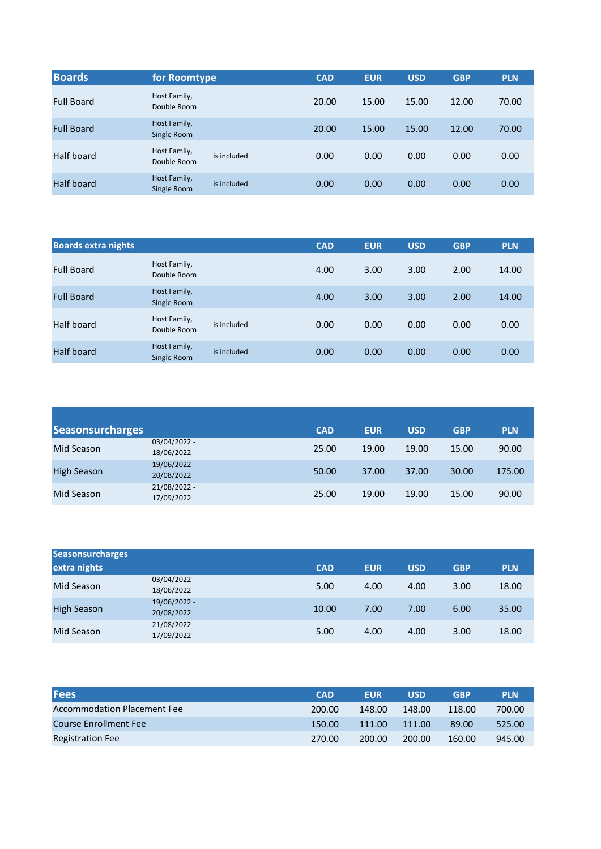| <b>Boards</b>     | for Roomtype                |             | <b>CAD</b> | <b>EUR</b> | <b>USD</b> | <b>GBP</b> | <b>PLN</b> |
|-------------------|-----------------------------|-------------|------------|------------|------------|------------|------------|
| <b>Full Board</b> | Host Family,<br>Double Room |             | 20.00      | 15.00      | 15.00      | 12.00      | 70.00      |
| <b>Full Board</b> | Host Family,<br>Single Room |             | 20.00      | 15.00      | 15.00      | 12.00      | 70.00      |
| Half board        | Host Family,<br>Double Room | is included | 0.00       | 0.00       | 0.00       | 0.00       | 0.00       |
| Half board        | Host Family,<br>Single Room | is included | 0.00       | 0.00       | 0.00       | 0.00       | 0.00       |

| <b>Boards extra nights</b> |                             |             | <b>CAD</b> | <b>EUR</b> | <b>USD</b> | <b>GBP</b> | <b>PLN</b> |
|----------------------------|-----------------------------|-------------|------------|------------|------------|------------|------------|
| <b>Full Board</b>          | Host Family,<br>Double Room |             | 4.00       | 3.00       | 3.00       | 2.00       | 14.00      |
| <b>Full Board</b>          | Host Family,<br>Single Room |             | 4.00       | 3.00       | 3.00       | 2.00       | 14.00      |
| Half board                 | Host Family,<br>Double Room | is included | 0.00       | 0.00       | 0.00       | 0.00       | 0.00       |
| Half board                 | Host Family,<br>Single Room | is included | 0.00       | 0.00       | 0.00       | 0.00       | 0.00       |

| <b>Seasonsurcharges</b> |                            | <b>CAD</b> | <b>EUR</b> | <b>USD</b> | <b>GBP</b> | <b>PLN</b> |
|-------------------------|----------------------------|------------|------------|------------|------------|------------|
| Mid Season              | 03/04/2022 -<br>18/06/2022 | 25.00      | 19.00      | 19.00      | 15.00      | 90.00      |
| <b>High Season</b>      | 19/06/2022 -<br>20/08/2022 | 50.00      | 37.00      | 37.00      | 30.00      | 175.00     |
| Mid Season              | 21/08/2022 -<br>17/09/2022 | 25.00      | 19.00      | 19.00      | 15.00      | 90.00      |

| <b>Seasonsurcharges</b> |                            |            |            |            |            |            |
|-------------------------|----------------------------|------------|------------|------------|------------|------------|
| extra nights            |                            | <b>CAD</b> | <b>EUR</b> | <b>USD</b> | <b>GBP</b> | <b>PLN</b> |
| Mid Season              | 03/04/2022 -<br>18/06/2022 | 5.00       | 4.00       | 4.00       | 3.00       | 18.00      |
| <b>High Season</b>      | 19/06/2022 -<br>20/08/2022 | 10.00      | 7.00       | 7.00       | 6.00       | 35.00      |
| Mid Season              | 21/08/2022 -<br>17/09/2022 | 5.00       | 4.00       | 4.00       | 3.00       | 18.00      |

| <b>Fees</b>                        | <b>CAD</b> | <b>EUR</b> | <b>USD</b> | <b>GBP</b> | <b>PLN</b> |
|------------------------------------|------------|------------|------------|------------|------------|
| <b>Accommodation Placement Fee</b> | 200.00     | 148.00     | 148.00     | 118.00     | 700.00     |
| Course Enrollment Fee              | 150.00     | 111.00     | 111.00     | 89.00      | 525.00     |
| <b>Registration Fee</b>            | 270.00     | 200.00     | 200.00     | 160.00     | 945.00     |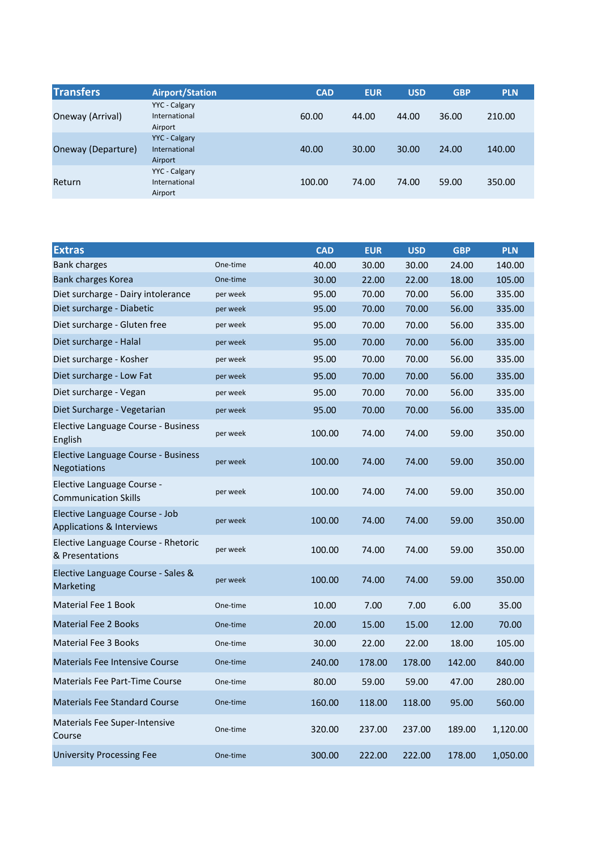| <b>Transfers</b>   | <b>Airport/Station</b>                           | <b>CAD</b> | <b>EUR</b> | <b>USD</b> | <b>GBP</b> | <b>PLN</b> |
|--------------------|--------------------------------------------------|------------|------------|------------|------------|------------|
| Oneway (Arrival)   | YYC - Calgary<br>International<br>Airport        | 60.00      | 44.00      | 44.00      | 36.00      | 210.00     |
| Oneway (Departure) | <b>YYC</b> - Calgary<br>International<br>Airport | 40.00      | 30.00      | 30.00      | 24.00      | 140.00     |
| Return             | YYC - Calgary<br>International<br>Airport        | 100.00     | 74.00      | 74.00      | 59.00      | 350.00     |

| <b>Extras</b>                                               |          | <b>CAD</b> | <b>EUR</b> | <b>USD</b> | <b>GBP</b> | <b>PLN</b> |
|-------------------------------------------------------------|----------|------------|------------|------------|------------|------------|
| <b>Bank charges</b>                                         | One-time | 40.00      | 30.00      | 30.00      | 24.00      | 140.00     |
| Bank charges Korea                                          | One-time | 30.00      | 22.00      | 22.00      | 18.00      | 105.00     |
| Diet surcharge - Dairy intolerance                          | per week | 95.00      | 70.00      | 70.00      | 56.00      | 335.00     |
| Diet surcharge - Diabetic                                   | per week | 95.00      | 70.00      | 70.00      | 56.00      | 335.00     |
| Diet surcharge - Gluten free                                | per week | 95.00      | 70.00      | 70.00      | 56.00      | 335.00     |
| Diet surcharge - Halal                                      | per week | 95.00      | 70.00      | 70.00      | 56.00      | 335.00     |
| Diet surcharge - Kosher                                     | per week | 95.00      | 70.00      | 70.00      | 56.00      | 335.00     |
| Diet surcharge - Low Fat                                    | per week | 95.00      | 70.00      | 70.00      | 56.00      | 335.00     |
| Diet surcharge - Vegan                                      | per week | 95.00      | 70.00      | 70.00      | 56.00      | 335.00     |
| Diet Surcharge - Vegetarian                                 | per week | 95.00      | 70.00      | 70.00      | 56.00      | 335.00     |
| Elective Language Course - Business<br>English              | per week | 100.00     | 74.00      | 74.00      | 59.00      | 350.00     |
| Elective Language Course - Business<br><b>Negotiations</b>  | per week | 100.00     | 74.00      | 74.00      | 59.00      | 350.00     |
| Elective Language Course -<br><b>Communication Skills</b>   | per week | 100.00     | 74.00      | 74.00      | 59.00      | 350.00     |
| Elective Language Course - Job<br>Applications & Interviews | per week | 100.00     | 74.00      | 74.00      | 59.00      | 350.00     |
| Elective Language Course - Rhetoric<br>& Presentations      | per week | 100.00     | 74.00      | 74.00      | 59.00      | 350.00     |
| Elective Language Course - Sales &<br>Marketing             | per week | 100.00     | 74.00      | 74.00      | 59.00      | 350.00     |
| <b>Material Fee 1 Book</b>                                  | One-time | 10.00      | 7.00       | 7.00       | 6.00       | 35.00      |
| <b>Material Fee 2 Books</b>                                 | One-time | 20.00      | 15.00      | 15.00      | 12.00      | 70.00      |
| Material Fee 3 Books                                        | One-time | 30.00      | 22.00      | 22.00      | 18.00      | 105.00     |
| <b>Materials Fee Intensive Course</b>                       | One-time | 240.00     | 178.00     | 178.00     | 142.00     | 840.00     |
| Materials Fee Part-Time Course                              | One-time | 80.00      | 59.00      | 59.00      | 47.00      | 280.00     |
| <b>Materials Fee Standard Course</b>                        | One-time | 160.00     | 118.00     | 118.00     | 95.00      | 560.00     |
| <b>Materials Fee Super-Intensive</b><br>Course              | One-time | 320.00     | 237.00     | 237.00     | 189.00     | 1,120.00   |
| <b>University Processing Fee</b>                            | One-time | 300.00     | 222.00     | 222.00     | 178.00     | 1,050.00   |